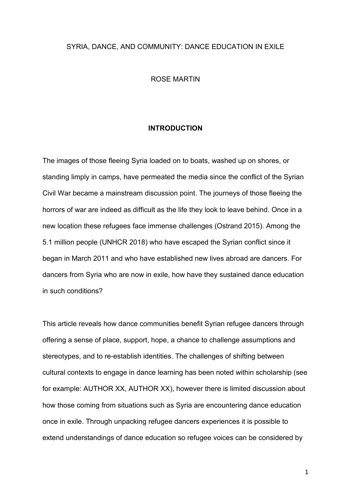### SYRIA, DANCE, AND COMMUNITY: DANCE EDUCATION IN EXILE

### ROSE MARTIN

### **INTRODUCTION**

The images of those fleeing Syria loaded on to boats, washed up on shores, or standing limply in camps, have permeated the media since the conflict of the Syrian Civil War became a mainstream discussion point. The journeys of those fleeing the horrors of war are indeed as difficult as the life they look to leave behind. Once in a new location these refugees face immense challenges (Ostrand 2015). Among the 5.1 million people (UNHCR 2018) who have escaped the Syrian conflict since it began in March 2011 and who have established new lives abroad are dancers. For dancers from Syria who are now in exile, how have they sustained dance education in such conditions?

This article reveals how dance communities benefit Syrian refugee dancers through offering a sense of place, support, hope, a chance to challenge assumptions and stereotypes, and to re-establish identities. The challenges of shifting between cultural contexts to engage in dance learning has been noted within scholarship (see for example: AUTHOR XX, AUTHOR XX), however there is limited discussion about how those coming from situations such as Syria are encountering dance education once in exile. Through unpacking refugee dancers experiences it is possible to extend understandings of dance education so refugee voices can be considered by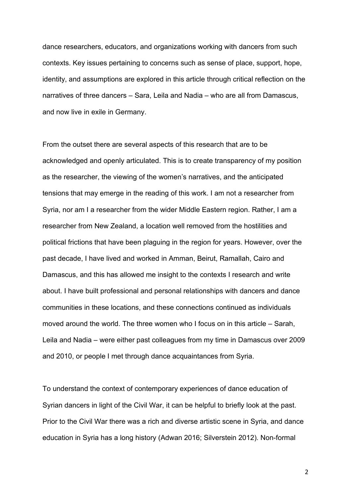dance researchers, educators, and organizations working with dancers from such contexts. Key issues pertaining to concerns such as sense of place, support, hope, identity, and assumptions are explored in this article through critical reflection on the narratives of three dancers – Sara, Leila and Nadia – who are all from Damascus, and now live in exile in Germany.

From the outset there are several aspects of this research that are to be acknowledged and openly articulated. This is to create transparency of my position as the researcher, the viewing of the women's narratives, and the anticipated tensions that may emerge in the reading of this work. I am not a researcher from Syria, nor am I a researcher from the wider Middle Eastern region. Rather, I am a researcher from New Zealand, a location well removed from the hostilities and political frictions that have been plaguing in the region for years. However, over the past decade, I have lived and worked in Amman, Beirut, Ramallah, Cairo and Damascus, and this has allowed me insight to the contexts I research and write about. I have built professional and personal relationships with dancers and dance communities in these locations, and these connections continued as individuals moved around the world. The three women who I focus on in this article – Sarah, Leila and Nadia – were either past colleagues from my time in Damascus over 2009 and 2010, or people I met through dance acquaintances from Syria.

To understand the context of contemporary experiences of dance education of Syrian dancers in light of the Civil War, it can be helpful to briefly look at the past. Prior to the Civil War there was a rich and diverse artistic scene in Syria, and dance education in Syria has a long history (Adwan 2016; Silverstein 2012). Non-formal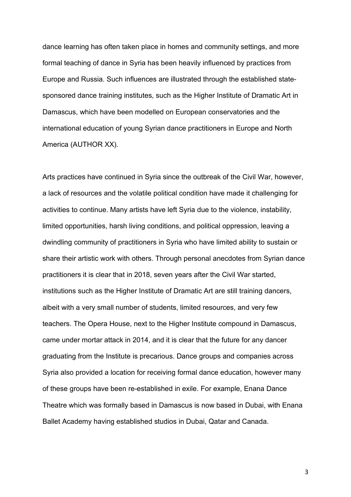dance learning has often taken place in homes and community settings, and more formal teaching of dance in Syria has been heavily influenced by practices from Europe and Russia. Such influences are illustrated through the established statesponsored dance training institutes, such as the Higher Institute of Dramatic Art in Damascus, which have been modelled on European conservatories and the international education of young Syrian dance practitioners in Europe and North America (AUTHOR XX).

Arts practices have continued in Syria since the outbreak of the Civil War, however, a lack of resources and the volatile political condition have made it challenging for activities to continue. Many artists have left Syria due to the violence, instability, limited opportunities, harsh living conditions, and political oppression, leaving a dwindling community of practitioners in Syria who have limited ability to sustain or share their artistic work with others. Through personal anecdotes from Syrian dance practitioners it is clear that in 2018, seven years after the Civil War started, institutions such as the Higher Institute of Dramatic Art are still training dancers, albeit with a very small number of students, limited resources, and very few teachers. The Opera House, next to the Higher Institute compound in Damascus, came under mortar attack in 2014, and it is clear that the future for any dancer graduating from the Institute is precarious. Dance groups and companies across Syria also provided a location for receiving formal dance education, however many of these groups have been re-established in exile. For example, Enana Dance Theatre which was formally based in Damascus is now based in Dubai, with Enana Ballet Academy having established studios in Dubai, Qatar and Canada.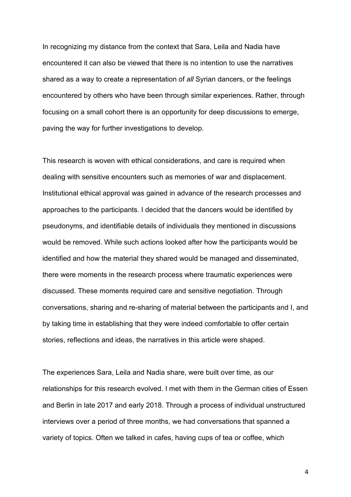In recognizing my distance from the context that Sara, Leila and Nadia have encountered it can also be viewed that there is no intention to use the narratives shared as a way to create a representation of *all* Syrian dancers, or the feelings encountered by others who have been through similar experiences. Rather, through focusing on a small cohort there is an opportunity for deep discussions to emerge, paving the way for further investigations to develop.

This research is woven with ethical considerations, and care is required when dealing with sensitive encounters such as memories of war and displacement. Institutional ethical approval was gained in advance of the research processes and approaches to the participants. I decided that the dancers would be identified by pseudonyms, and identifiable details of individuals they mentioned in discussions would be removed. While such actions looked after how the participants would be identified and how the material they shared would be managed and disseminated, there were moments in the research process where traumatic experiences were discussed. These moments required care and sensitive negotiation. Through conversations, sharing and re-sharing of material between the participants and I, and by taking time in establishing that they were indeed comfortable to offer certain stories, reflections and ideas, the narratives in this article were shaped.

The experiences Sara, Leila and Nadia share, were built over time, as our relationships for this research evolved. I met with them in the German cities of Essen and Berlin in late 2017 and early 2018. Through a process of individual unstructured interviews over a period of three months, we had conversations that spanned a variety of topics. Often we talked in cafes, having cups of tea or coffee, which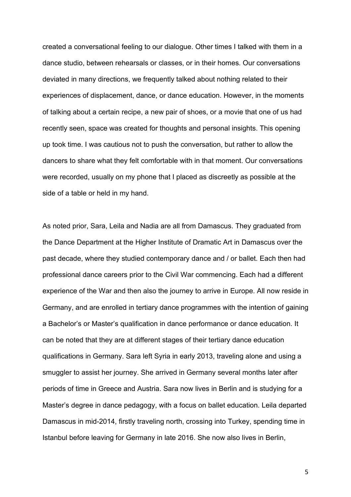created a conversational feeling to our dialogue. Other times I talked with them in a dance studio, between rehearsals or classes, or in their homes. Our conversations deviated in many directions, we frequently talked about nothing related to their experiences of displacement, dance, or dance education. However, in the moments of talking about a certain recipe, a new pair of shoes, or a movie that one of us had recently seen, space was created for thoughts and personal insights. This opening up took time. I was cautious not to push the conversation, but rather to allow the dancers to share what they felt comfortable with in that moment. Our conversations were recorded, usually on my phone that I placed as discreetly as possible at the side of a table or held in my hand.

As noted prior, Sara, Leila and Nadia are all from Damascus. They graduated from the Dance Department at the Higher Institute of Dramatic Art in Damascus over the past decade, where they studied contemporary dance and / or ballet. Each then had professional dance careers prior to the Civil War commencing. Each had a different experience of the War and then also the journey to arrive in Europe. All now reside in Germany, and are enrolled in tertiary dance programmes with the intention of gaining a Bachelor's or Master's qualification in dance performance or dance education. It can be noted that they are at different stages of their tertiary dance education qualifications in Germany. Sara left Syria in early 2013, traveling alone and using a smuggler to assist her journey. She arrived in Germany several months later after periods of time in Greece and Austria. Sara now lives in Berlin and is studying for a Master's degree in dance pedagogy, with a focus on ballet education. Leila departed Damascus in mid-2014, firstly traveling north, crossing into Turkey, spending time in Istanbul before leaving for Germany in late 2016. She now also lives in Berlin,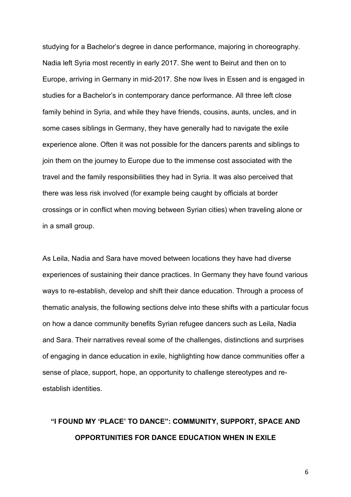studying for a Bachelor's degree in dance performance, majoring in choreography. Nadia left Syria most recently in early 2017. She went to Beirut and then on to Europe, arriving in Germany in mid-2017. She now lives in Essen and is engaged in studies for a Bachelor's in contemporary dance performance. All three left close family behind in Syria, and while they have friends, cousins, aunts, uncles, and in some cases siblings in Germany, they have generally had to navigate the exile experience alone. Often it was not possible for the dancers parents and siblings to join them on the journey to Europe due to the immense cost associated with the travel and the family responsibilities they had in Syria. It was also perceived that there was less risk involved (for example being caught by officials at border crossings or in conflict when moving between Syrian cities) when traveling alone or in a small group.

As Leila, Nadia and Sara have moved between locations they have had diverse experiences of sustaining their dance practices. In Germany they have found various ways to re-establish, develop and shift their dance education. Through a process of thematic analysis, the following sections delve into these shifts with a particular focus on how a dance community benefits Syrian refugee dancers such as Leila, Nadia and Sara. Their narratives reveal some of the challenges, distinctions and surprises of engaging in dance education in exile, highlighting how dance communities offer a sense of place, support, hope, an opportunity to challenge stereotypes and reestablish identities.

### **"I FOUND MY 'PLACE' TO DANCE": COMMUNITY, SUPPORT, SPACE AND OPPORTUNITIES FOR DANCE EDUCATION WHEN IN EXILE**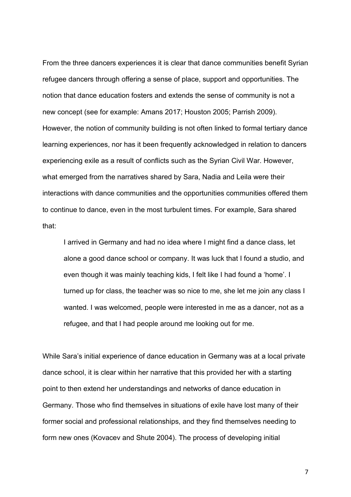From the three dancers experiences it is clear that dance communities benefit Syrian refugee dancers through offering a sense of place, support and opportunities. The notion that dance education fosters and extends the sense of community is not a new concept (see for example: Amans 2017; Houston 2005; Parrish 2009). However, the notion of community building is not often linked to formal tertiary dance learning experiences, nor has it been frequently acknowledged in relation to dancers experiencing exile as a result of conflicts such as the Syrian Civil War. However, what emerged from the narratives shared by Sara, Nadia and Leila were their interactions with dance communities and the opportunities communities offered them to continue to dance, even in the most turbulent times. For example, Sara shared that:

I arrived in Germany and had no idea where I might find a dance class, let alone a good dance school or company. It was luck that I found a studio, and even though it was mainly teaching kids, I felt like I had found a 'home'. I turned up for class, the teacher was so nice to me, she let me join any class I wanted. I was welcomed, people were interested in me as a dancer, not as a refugee, and that I had people around me looking out for me.

While Sara's initial experience of dance education in Germany was at a local private dance school, it is clear within her narrative that this provided her with a starting point to then extend her understandings and networks of dance education in Germany. Those who find themselves in situations of exile have lost many of their former social and professional relationships, and they find themselves needing to form new ones (Kovacev and Shute 2004). The process of developing initial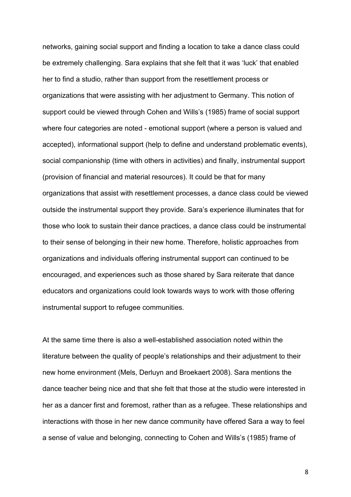networks, gaining social support and finding a location to take a dance class could be extremely challenging. Sara explains that she felt that it was 'luck' that enabled her to find a studio, rather than support from the resettlement process or organizations that were assisting with her adjustment to Germany. This notion of support could be viewed through Cohen and Wills's (1985) frame of social support where four categories are noted - emotional support (where a person is valued and accepted), informational support (help to define and understand problematic events), social companionship (time with others in activities) and finally, instrumental support (provision of financial and material resources). It could be that for many organizations that assist with resettlement processes, a dance class could be viewed outside the instrumental support they provide. Sara's experience illuminates that for those who look to sustain their dance practices, a dance class could be instrumental to their sense of belonging in their new home. Therefore, holistic approaches from organizations and individuals offering instrumental support can continued to be encouraged, and experiences such as those shared by Sara reiterate that dance educators and organizations could look towards ways to work with those offering instrumental support to refugee communities.

At the same time there is also a well-established association noted within the literature between the quality of people's relationships and their adjustment to their new home environment (Mels, Derluyn and Broekaert 2008). Sara mentions the dance teacher being nice and that she felt that those at the studio were interested in her as a dancer first and foremost, rather than as a refugee. These relationships and interactions with those in her new dance community have offered Sara a way to feel a sense of value and belonging, connecting to Cohen and Wills's (1985) frame of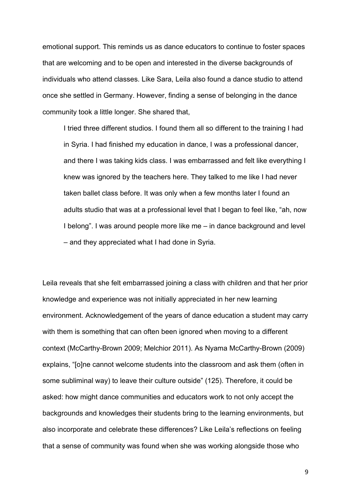emotional support. This reminds us as dance educators to continue to foster spaces that are welcoming and to be open and interested in the diverse backgrounds of individuals who attend classes. Like Sara, Leila also found a dance studio to attend once she settled in Germany. However, finding a sense of belonging in the dance community took a little longer. She shared that,

I tried three different studios. I found them all so different to the training I had in Syria. I had finished my education in dance, I was a professional dancer, and there I was taking kids class. I was embarrassed and felt like everything I knew was ignored by the teachers here. They talked to me like I had never taken ballet class before. It was only when a few months later I found an adults studio that was at a professional level that I began to feel like, "ah, now I belong". I was around people more like me – in dance background and level – and they appreciated what I had done in Syria.

Leila reveals that she felt embarrassed joining a class with children and that her prior knowledge and experience was not initially appreciated in her new learning environment. Acknowledgement of the years of dance education a student may carry with them is something that can often been ignored when moving to a different context (McCarthy-Brown 2009; Melchior 2011). As Nyama McCarthy-Brown (2009) explains, "[o]ne cannot welcome students into the classroom and ask them (often in some subliminal way) to leave their culture outside" (125). Therefore, it could be asked: how might dance communities and educators work to not only accept the backgrounds and knowledges their students bring to the learning environments, but also incorporate and celebrate these differences? Like Leila's reflections on feeling that a sense of community was found when she was working alongside those who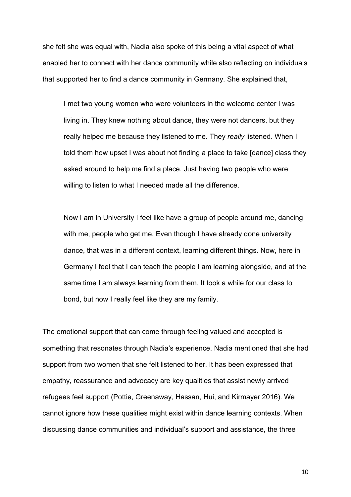she felt she was equal with, Nadia also spoke of this being a vital aspect of what enabled her to connect with her dance community while also reflecting on individuals that supported her to find a dance community in Germany. She explained that,

I met two young women who were volunteers in the welcome center I was living in. They knew nothing about dance, they were not dancers, but they really helped me because they listened to me. They *really* listened. When I told them how upset I was about not finding a place to take [dance] class they asked around to help me find a place. Just having two people who were willing to listen to what I needed made all the difference.

Now I am in University I feel like have a group of people around me, dancing with me, people who get me. Even though I have already done university dance, that was in a different context, learning different things. Now, here in Germany I feel that I can teach the people I am learning alongside, and at the same time I am always learning from them. It took a while for our class to bond, but now I really feel like they are my family.

The emotional support that can come through feeling valued and accepted is something that resonates through Nadia's experience. Nadia mentioned that she had support from two women that she felt listened to her. It has been expressed that empathy, reassurance and advocacy are key qualities that assist newly arrived refugees feel support (Pottie, Greenaway, Hassan, Hui, and Kirmayer 2016). We cannot ignore how these qualities might exist within dance learning contexts. When discussing dance communities and individual's support and assistance, the three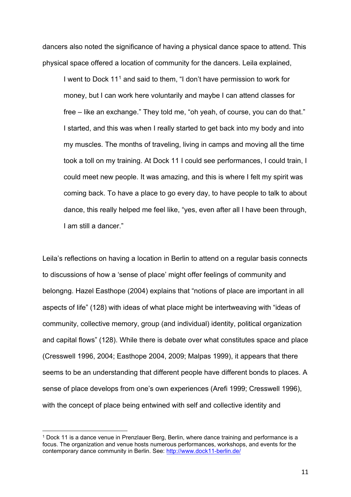dancers also noted the significance of having a physical dance space to attend. This physical space offered a location of community for the dancers. Leila explained,

I went to Dock [1](#page-10-0)1<sup>1</sup> and said to them, "I don't have permission to work for money, but I can work here voluntarily and maybe I can attend classes for free – like an exchange." They told me, "oh yeah, of course, you can do that." I started, and this was when I really started to get back into my body and into my muscles. The months of traveling, living in camps and moving all the time took a toll on my training. At Dock 11 I could see performances, I could train, I could meet new people. It was amazing, and this is where I felt my spirit was coming back. To have a place to go every day, to have people to talk to about dance, this really helped me feel like, "yes, even after all I have been through, I am still a dancer."

Leila's reflections on having a location in Berlin to attend on a regular basis connects to discussions of how a 'sense of place' might offer feelings of community and belongng. Hazel Easthope (2004) explains that "notions of place are important in all aspects of life" (128) with ideas of what place might be intertweaving with "ideas of community, collective memory, group (and individual) identity, political organization and capital flows" (128). While there is debate over what constitutes space and place (Cresswell 1996, 2004; Easthope 2004, 2009; Malpas 1999), it appears that there seems to be an understanding that different people have different bonds to places. A sense of place develops from one's own experiences (Arefi 1999; Cresswell 1996), with the concept of place being entwined with self and collective identity and

<span id="page-10-0"></span><sup>1</sup> Dock 11 is a dance venue in Prenzlauer Berg, Berlin, where dance training and performance is a focus. The organization and venue hosts numerous performances, workshops, and events for the contemporary dance community in Berlin. See:<http://www.dock11-berlin.de/>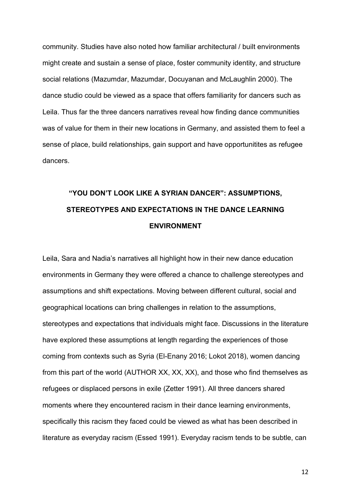community. Studies have also noted how familiar architectural / built environments might create and sustain a sense of place, foster community identity, and structure social relations (Mazumdar, Mazumdar, Docuyanan and McLaughlin 2000). The dance studio could be viewed as a space that offers familiarity for dancers such as Leila. Thus far the three dancers narratives reveal how finding dance communities was of value for them in their new locations in Germany, and assisted them to feel a sense of place, build relationships, gain support and have opportunitites as refugee dancers.

## **"YOU DON'T LOOK LIKE A SYRIAN DANCER": ASSUMPTIONS, STEREOTYPES AND EXPECTATIONS IN THE DANCE LEARNING ENVIRONMENT**

Leila, Sara and Nadia's narratives all highlight how in their new dance education environments in Germany they were offered a chance to challenge stereotypes and assumptions and shift expectations. Moving between different cultural, social and geographical locations can bring challenges in relation to the assumptions, stereotypes and expectations that individuals might face. Discussions in the literature have explored these assumptions at length regarding the experiences of those coming from contexts such as Syria (El-Enany 2016; Lokot 2018), women dancing from this part of the world (AUTHOR XX, XX, XX), and those who find themselves as refugees or displaced persons in exile (Zetter 1991). All three dancers shared moments where they encountered racism in their dance learning environments, specifically this racism they faced could be viewed as what has been described in literature as everyday racism (Essed 1991). Everyday racism tends to be subtle, can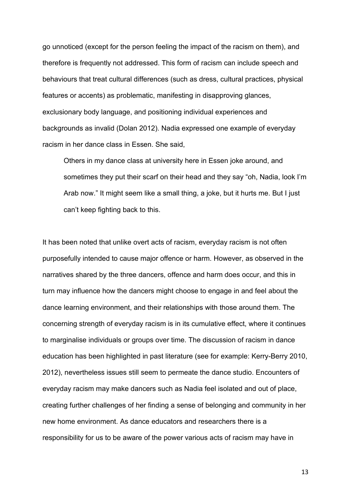go unnoticed (except for the person feeling the impact of the racism on them), and therefore is frequently not addressed. This form of racism can include speech and behaviours that treat cultural differences (such as dress, cultural practices, physical features or accents) as problematic, manifesting in disapproving glances, exclusionary body language, and positioning individual experiences and backgrounds as invalid (Dolan 2012). Nadia expressed one example of everyday racism in her dance class in Essen. She said,

Others in my dance class at university here in Essen joke around, and sometimes they put their scarf on their head and they say "oh, Nadia, look I'm Arab now." It might seem like a small thing, a joke, but it hurts me. But I just can't keep fighting back to this.

It has been noted that unlike overt acts of racism, everyday racism is not often purposefully intended to cause major offence or harm. However, as observed in the narratives shared by the three dancers, offence and harm does occur, and this in turn may influence how the dancers might choose to engage in and feel about the dance learning environment, and their relationships with those around them. The concerning strength of everyday racism is in its cumulative effect, where it continues to marginalise individuals or groups over time. The discussion of racism in dance education has been highlighted in past literature (see for example: Kerry-Berry 2010, 2012), nevertheless issues still seem to permeate the dance studio. Encounters of everyday racism may make dancers such as Nadia feel isolated and out of place, creating further challenges of her finding a sense of belonging and community in her new home environment. As dance educators and researchers there is a responsibility for us to be aware of the power various acts of racism may have in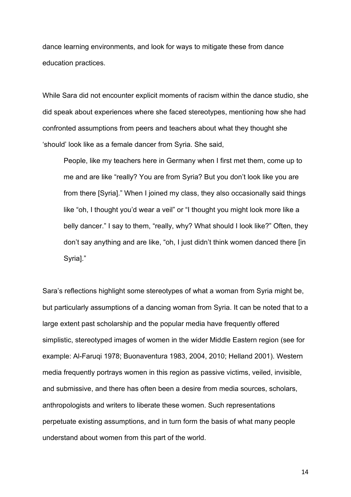dance learning environments, and look for ways to mitigate these from dance education practices.

While Sara did not encounter explicit moments of racism within the dance studio, she did speak about experiences where she faced stereotypes, mentioning how she had confronted assumptions from peers and teachers about what they thought she 'should' look like as a female dancer from Syria. She said,

People, like my teachers here in Germany when I first met them, come up to me and are like "really? You are from Syria? But you don't look like you are from there [Syria]." When I joined my class, they also occasionally said things like "oh, I thought you'd wear a veil" or "I thought you might look more like a belly dancer." I say to them, "really, why? What should I look like?" Often, they don't say anything and are like, "oh, I just didn't think women danced there [in Syria]."

Sara's reflections highlight some stereotypes of what a woman from Syria might be, but particularly assumptions of a dancing woman from Syria. It can be noted that to a large extent past scholarship and the popular media have frequently offered simplistic, stereotyped images of women in the wider Middle Eastern region (see for example: Al-Faruqi 1978; Buonaventura 1983, 2004, 2010; Helland 2001). Western media frequently portrays women in this region as passive victims, veiled, invisible, and submissive, and there has often been a desire from media sources, scholars, anthropologists and writers to liberate these women. Such representations perpetuate existing assumptions, and in turn form the basis of what many people understand about women from this part of the world.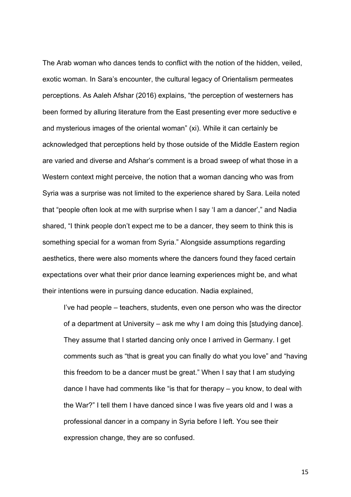The Arab woman who dances tends to conflict with the notion of the hidden, veiled, exotic woman. In Sara's encounter, the cultural legacy of Orientalism permeates perceptions. As Aaleh Afshar (2016) explains, "the perception of westerners has been formed by alluring literature from the East presenting ever more seductive e and mysterious images of the oriental woman" (xi). While it can certainly be acknowledged that perceptions held by those outside of the Middle Eastern region are varied and diverse and Afshar's comment is a broad sweep of what those in a Western context might perceive, the notion that a woman dancing who was from Syria was a surprise was not limited to the experience shared by Sara. Leila noted that "people often look at me with surprise when I say 'I am a dancer'," and Nadia shared, "I think people don't expect me to be a dancer, they seem to think this is something special for a woman from Syria." Alongside assumptions regarding aesthetics, there were also moments where the dancers found they faced certain expectations over what their prior dance learning experiences might be, and what their intentions were in pursuing dance education. Nadia explained,

I've had people – teachers, students, even one person who was the director of a department at University – ask me why I am doing this [studying dance]. They assume that I started dancing only once I arrived in Germany. I get comments such as "that is great you can finally do what you love" and "having this freedom to be a dancer must be great." When I say that I am studying dance I have had comments like "is that for therapy – you know, to deal with the War?" I tell them I have danced since I was five years old and I was a professional dancer in a company in Syria before I left. You see their expression change, they are so confused.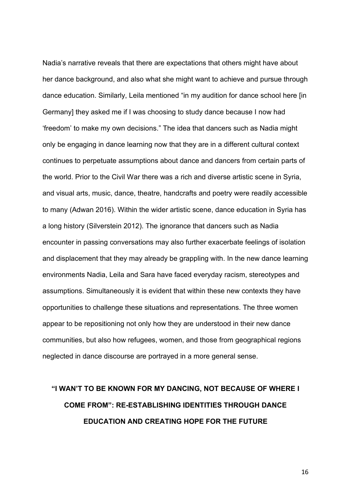Nadia's narrative reveals that there are expectations that others might have about her dance background, and also what she might want to achieve and pursue through dance education. Similarly, Leila mentioned "in my audition for dance school here [in Germany] they asked me if I was choosing to study dance because I now had 'freedom' to make my own decisions." The idea that dancers such as Nadia might only be engaging in dance learning now that they are in a different cultural context continues to perpetuate assumptions about dance and dancers from certain parts of the world. Prior to the Civil War there was a rich and diverse artistic scene in Syria, and visual arts, music, dance, theatre, handcrafts and poetry were readily accessible to many (Adwan 2016). Within the wider artistic scene, dance education in Syria has a long history (Silverstein 2012). The ignorance that dancers such as Nadia encounter in passing conversations may also further exacerbate feelings of isolation and displacement that they may already be grappling with. In the new dance learning environments Nadia, Leila and Sara have faced everyday racism, stereotypes and assumptions. Simultaneously it is evident that within these new contexts they have opportunities to challenge these situations and representations. The three women appear to be repositioning not only how they are understood in their new dance communities, but also how refugees, women, and those from geographical regions neglected in dance discourse are portrayed in a more general sense.

# **"I WAN'T TO BE KNOWN FOR MY DANCING, NOT BECAUSE OF WHERE I COME FROM": RE-ESTABLISHING IDENTITIES THROUGH DANCE EDUCATION AND CREATING HOPE FOR THE FUTURE**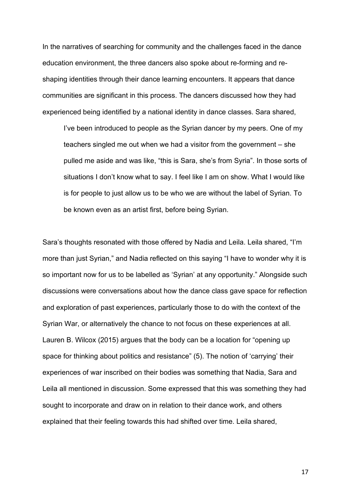In the narratives of searching for community and the challenges faced in the dance education environment, the three dancers also spoke about re-forming and reshaping identities through their dance learning encounters. It appears that dance communities are significant in this process. The dancers discussed how they had experienced being identified by a national identity in dance classes. Sara shared,

I've been introduced to people as the Syrian dancer by my peers. One of my teachers singled me out when we had a visitor from the government – she pulled me aside and was like, "this is Sara, she's from Syria". In those sorts of situations I don't know what to say. I feel like I am on show. What I would like is for people to just allow us to be who we are without the label of Syrian. To be known even as an artist first, before being Syrian.

Sara's thoughts resonated with those offered by Nadia and Leila. Leila shared, "I'm more than just Syrian," and Nadia reflected on this saying "I have to wonder why it is so important now for us to be labelled as 'Syrian' at any opportunity." Alongside such discussions were conversations about how the dance class gave space for reflection and exploration of past experiences, particularly those to do with the context of the Syrian War, or alternatively the chance to not focus on these experiences at all. Lauren B. Wilcox (2015) argues that the body can be a location for "opening up space for thinking about politics and resistance" (5). The notion of 'carrying' their experiences of war inscribed on their bodies was something that Nadia, Sara and Leila all mentioned in discussion. Some expressed that this was something they had sought to incorporate and draw on in relation to their dance work, and others explained that their feeling towards this had shifted over time. Leila shared,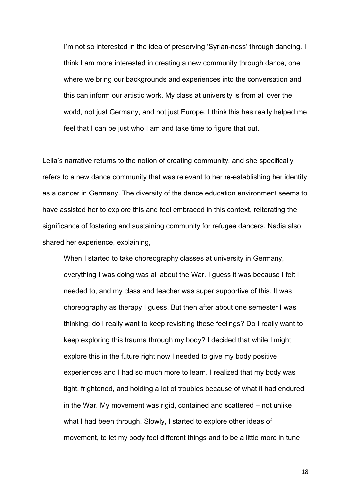I'm not so interested in the idea of preserving 'Syrian-ness' through dancing. I think I am more interested in creating a new community through dance, one where we bring our backgrounds and experiences into the conversation and this can inform our artistic work. My class at university is from all over the world, not just Germany, and not just Europe. I think this has really helped me feel that I can be just who I am and take time to figure that out.

Leila's narrative returns to the notion of creating community, and she specifically refers to a new dance community that was relevant to her re-establishing her identity as a dancer in Germany. The diversity of the dance education environment seems to have assisted her to explore this and feel embraced in this context, reiterating the significance of fostering and sustaining community for refugee dancers. Nadia also shared her experience, explaining,

When I started to take choreography classes at university in Germany, everything I was doing was all about the War. I guess it was because I felt I needed to, and my class and teacher was super supportive of this. It was choreography as therapy I guess. But then after about one semester I was thinking: do I really want to keep revisiting these feelings? Do I really want to keep exploring this trauma through my body? I decided that while I might explore this in the future right now I needed to give my body positive experiences and I had so much more to learn. I realized that my body was tight, frightened, and holding a lot of troubles because of what it had endured in the War. My movement was rigid, contained and scattered – not unlike what I had been through. Slowly, I started to explore other ideas of movement, to let my body feel different things and to be a little more in tune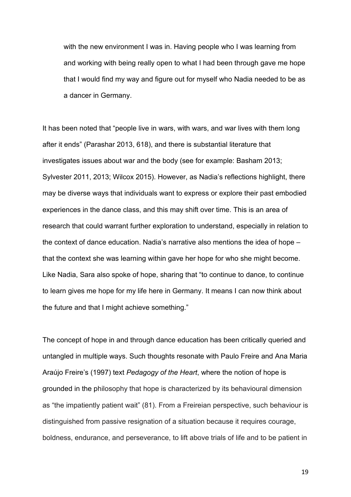with the new environment I was in. Having people who I was learning from and working with being really open to what I had been through gave me hope that I would find my way and figure out for myself who Nadia needed to be as a dancer in Germany.

It has been noted that "people live in wars, with wars, and war lives with them long after it ends" (Parashar 2013, 618), and there is substantial literature that investigates issues about war and the body (see for example: Basham 2013; Sylvester 2011, 2013; Wilcox 2015). However, as Nadia's reflections highlight, there may be diverse ways that individuals want to express or explore their past embodied experiences in the dance class, and this may shift over time. This is an area of research that could warrant further exploration to understand, especially in relation to the context of dance education. Nadia's narrative also mentions the idea of hope – that the context she was learning within gave her hope for who she might become. Like Nadia, Sara also spoke of hope, sharing that "to continue to dance, to continue to learn gives me hope for my life here in Germany. It means I can now think about the future and that I might achieve something."

The concept of hope in and through dance education has been critically queried and untangled in multiple ways. Such thoughts resonate with Paulo Freire and Ana Maria Araújo Freire's (1997) text *Pedagogy of the Heart*, where the notion of hope is grounded in the philosophy that hope is characterized by its behavioural dimension as "the impatiently patient wait" (81). From a Freireian perspective, such behaviour is distinguished from passive resignation of a situation because it requires courage, boldness, endurance, and perseverance, to lift above trials of life and to be patient in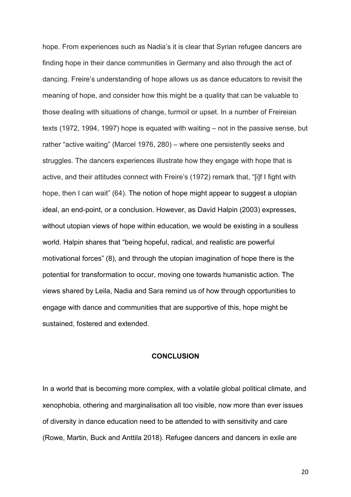hope. From experiences such as Nadia's it is clear that Syrian refugee dancers are finding hope in their dance communities in Germany and also through the act of dancing. Freire's understanding of hope allows us as dance educators to revisit the meaning of hope, and consider how this might be a quality that can be valuable to those dealing with situations of change, turmoil or upset. In a number of Freireian texts (1972, 1994, 1997) hope is equated with waiting – not in the passive sense, but rather "active waiting" (Marcel 1976, 280) – where one persistently seeks and struggles. The dancers experiences illustrate how they engage with hope that is active, and their attitudes connect with Freire's (1972) remark that, "[i]f I fight with hope, then I can wait" (64). The notion of hope might appear to suggest a utopian ideal, an end-point, or a conclusion. However, as David Halpin (2003) expresses, without utopian views of hope within education, we would be existing in a soulless world. Halpin shares that "being hopeful, radical, and realistic are powerful motivational forces" (8), and through the utopian imagination of hope there is the potential for transformation to occur, moving one towards humanistic action. The views shared by Leila, Nadia and Sara remind us of how through opportunities to engage with dance and communities that are supportive of this, hope might be sustained, fostered and extended.

### **CONCLUSION**

In a world that is becoming more complex, with a volatile global political climate, and xenophobia, othering and marginalisation all too visible, now more than ever issues of diversity in dance education need to be attended to with sensitivity and care (Rowe, Martin, Buck and Anttila 2018). Refugee dancers and dancers in exile are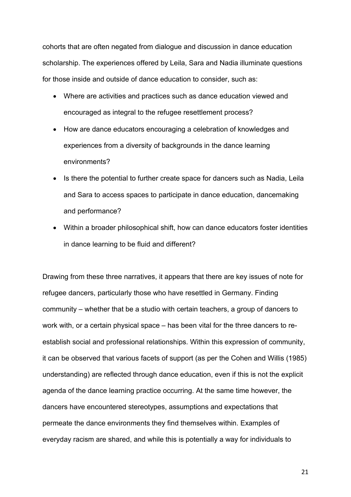cohorts that are often negated from dialogue and discussion in dance education scholarship. The experiences offered by Leila, Sara and Nadia illuminate questions for those inside and outside of dance education to consider, such as:

- Where are activities and practices such as dance education viewed and encouraged as integral to the refugee resettlement process?
- How are dance educators encouraging a celebration of knowledges and experiences from a diversity of backgrounds in the dance learning environments?
- Is there the potential to further create space for dancers such as Nadia, Leila and Sara to access spaces to participate in dance education, dancemaking and performance?
- Within a broader philosophical shift, how can dance educators foster identities in dance learning to be fluid and different?

Drawing from these three narratives, it appears that there are key issues of note for refugee dancers, particularly those who have resettled in Germany. Finding community – whether that be a studio with certain teachers, a group of dancers to work with, or a certain physical space – has been vital for the three dancers to reestablish social and professional relationships. Within this expression of community, it can be observed that various facets of support (as per the Cohen and Willis (1985) understanding) are reflected through dance education, even if this is not the explicit agenda of the dance learning practice occurring. At the same time however, the dancers have encountered stereotypes, assumptions and expectations that permeate the dance environments they find themselves within. Examples of everyday racism are shared, and while this is potentially a way for individuals to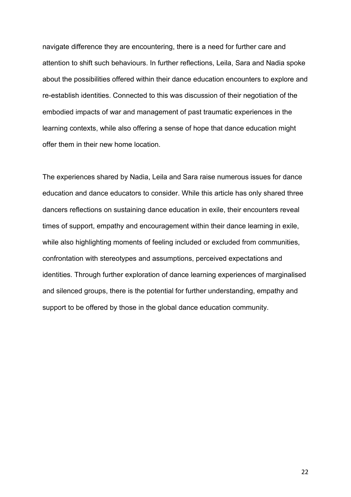navigate difference they are encountering, there is a need for further care and attention to shift such behaviours. In further reflections, Leila, Sara and Nadia spoke about the possibilities offered within their dance education encounters to explore and re-establish identities. Connected to this was discussion of their negotiation of the embodied impacts of war and management of past traumatic experiences in the learning contexts, while also offering a sense of hope that dance education might offer them in their new home location.

The experiences shared by Nadia, Leila and Sara raise numerous issues for dance education and dance educators to consider. While this article has only shared three dancers reflections on sustaining dance education in exile, their encounters reveal times of support, empathy and encouragement within their dance learning in exile, while also highlighting moments of feeling included or excluded from communities, confrontation with stereotypes and assumptions, perceived expectations and identities. Through further exploration of dance learning experiences of marginalised and silenced groups, there is the potential for further understanding, empathy and support to be offered by those in the global dance education community.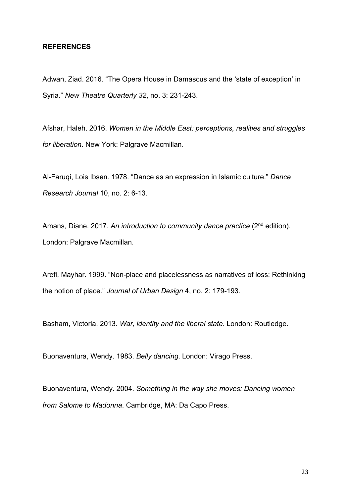#### **REFERENCES**

Adwan, Ziad. 2016. "The Opera House in Damascus and the 'state of exception' in Syria." *New Theatre Quarterly 32*, no. 3: 231-243.

Afshar, Haleh. 2016. *Women in the Middle East: perceptions, realities and struggles for liberation*. New York: Palgrave Macmillan.

Al-Faruqi, Lois Ibsen. 1978. "Dance as an expression in Islamic culture." *Dance Research Journal* 10, no. 2: 6-13.

Amans, Diane. 2017. *An introduction to community dance practice* (2nd edition). London: Palgrave Macmillan.

Arefi, Mayhar. 1999. "Non-place and placelessness as narratives of loss: Rethinking the notion of place." *Journal of Urban Design* 4, no. 2: 179-193.

Basham, Victoria. 2013. *War, identity and the liberal state*. London: Routledge.

Buonaventura, Wendy. 1983. *Belly dancing*. London: Virago Press.

Buonaventura, Wendy. 2004. *Something in the way she moves: Dancing women from Salome to Madonna*. Cambridge, MA: Da Capo Press.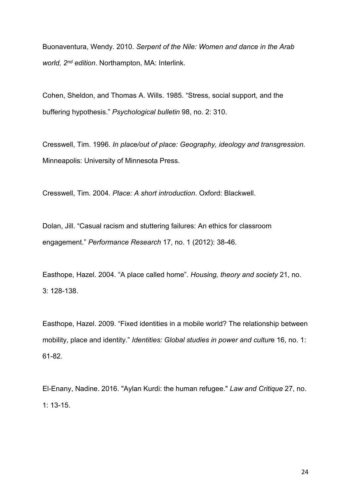Buonaventura, Wendy. 2010. *Serpent of the Nile: Women and dance in the Arab world, 2nd edition*. Northampton, MA: Interlink.

Cohen, Sheldon, and Thomas A. Wills. 1985. "Stress, social support, and the buffering hypothesis." *Psychological bulletin* 98, no. 2: 310.

Cresswell, Tim. 1996. *In place/out of place: Geography, ideology and transgression.*  Minneapolis: University of Minnesota Press.

Cresswell, Tim. 2004. *Place: A short introduction*. Oxford: Blackwell.

Dolan, Jill. "Casual racism and stuttering failures: An ethics for classroom engagement." *Performance Research* 17, no. 1 (2012): 38-46.

Easthope, Hazel. 2004. "A place called home". *Housing, theory and society* 21, no. 3: 128-138.

Easthope, Hazel. 2009. "Fixed identities in a mobile world? The relationship between mobility, place and identity." *Identities: Global studies in power and cultur*e 16, no. 1: 61-82.

El-Enany, Nadine. 2016. "Aylan Kurdi: the human refugee." *Law and Critique* 27, no. 1: 13-15.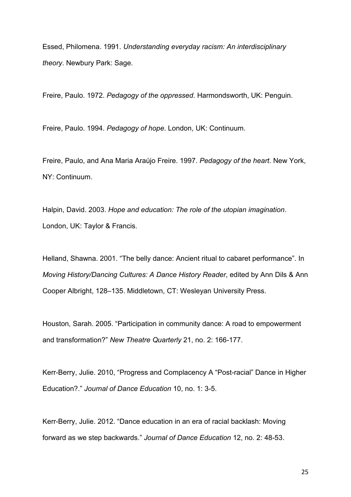Essed, Philomena. 1991. *Understanding everyday racism: An interdisciplinary theory*. Newbury Park: Sage.

Freire, Paulo. 1972. *Pedagogy of the oppressed*. Harmondsworth, UK: Penguin.

Freire, Paulo. 1994. *Pedagogy of hope*. London, UK: Continuum.

Freire, Paulo, and Ana Maria Araújo Freire. 1997. *Pedagogy of the heart*. New York, NY: Continuum.

Halpin, David. 2003. *Hope and education: The role of the utopian imagination*. London, UK: Taylor & Francis.

Helland, Shawna. 2001. "The belly dance: Ancient ritual to cabaret performance". In *Moving History/Dancing Cultures: A Dance History Reader*, edited by Ann Dils & Ann Cooper Albright, 128–135. Middletown, CT: Wesleyan University Press.

Houston, Sarah. 2005. "Participation in community dance: A road to empowerment and transformation?" *New Theatre Quarterly* 21, no. 2: 166-177.

Kerr-Berry, Julie. 2010, "Progress and Complacency A "Post-racial" Dance in Higher Education?." *Journal of Dance Education* 10, no. 1: 3-5.

Kerr-Berry, Julie. 2012. "Dance education in an era of racial backlash: Moving forward as we step backwards." *Journal of Dance Education* 12, no. 2: 48-53.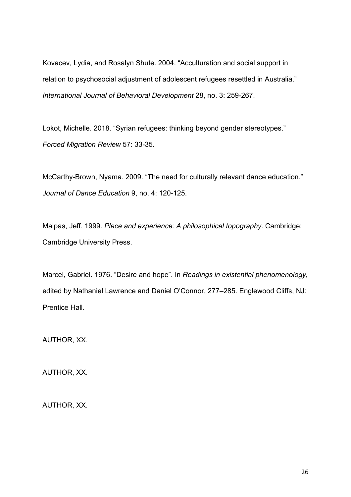Kovacev, Lydia, and Rosalyn Shute. 2004. "Acculturation and social support in relation to psychosocial adjustment of adolescent refugees resettled in Australia." *International Journal of Behavioral Development* 28, no. 3: 259-267.

Lokot, Michelle. 2018. "Syrian refugees: thinking beyond gender stereotypes." *Forced Migration Review* 57: 33-35.

McCarthy-Brown, Nyama. 2009. "The need for culturally relevant dance education." *Journal of Dance Education* 9, no. 4: 120-125.

Malpas, Jeff. 1999. *Place and experience: A philosophical topography*. Cambridge: Cambridge University Press.

Marcel, Gabriel. 1976. "Desire and hope". In *Readings in existential phenomenology*, edited by Nathaniel Lawrence and Daniel O'Connor, 277–285. Englewood Cliffs, NJ: Prentice Hall.

AUTHOR, XX.

AUTHOR, XX.

AUTHOR, XX.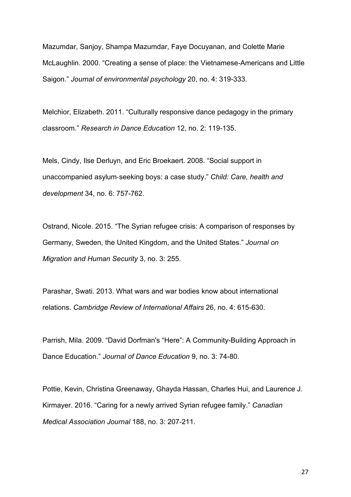Mazumdar, Sanjoy, Shampa Mazumdar, Faye Docuyanan, and Colette Marie McLaughlin. 2000. "Creating a sense of place: the Vietnamese-Americans and Little Saigon." *Journal of environmental psychology* 20, no. 4: 319-333.

Melchior, Elizabeth. 2011. "Culturally responsive dance pedagogy in the primary classroom." *Research in Dance Education* 12, no. 2: 119-135.

Mels, Cindy, Ilse Derluyn, and Eric Broekaert. 2008. "Social support in unaccompanied asylum‐seeking boys: a case study." *Child: Care, health and development* 34, no. 6: 757-762.

Ostrand, Nicole. 2015. "The Syrian refugee crisis: A comparison of responses by Germany, Sweden, the United Kingdom, and the United States." *Journal on Migration and Human Security* 3, no. 3: 255.

Parashar, Swati. 2013. What wars and war bodies know about international relations. *Cambridge Review of International Affairs* 26, no. 4: 615-630.

Parrish, Mila. 2009. "David Dorfman's "Here": A Community-Building Approach in Dance Education." *Journal of Dance Education* 9, no. 3: 74-80.

Pottie, Kevin, Christina Greenaway, Ghayda Hassan, Charles Hui, and Laurence J. Kirmayer. 2016. "Caring for a newly arrived Syrian refugee family." *Canadian Medical Association Journal* 188, no. 3: 207-211.